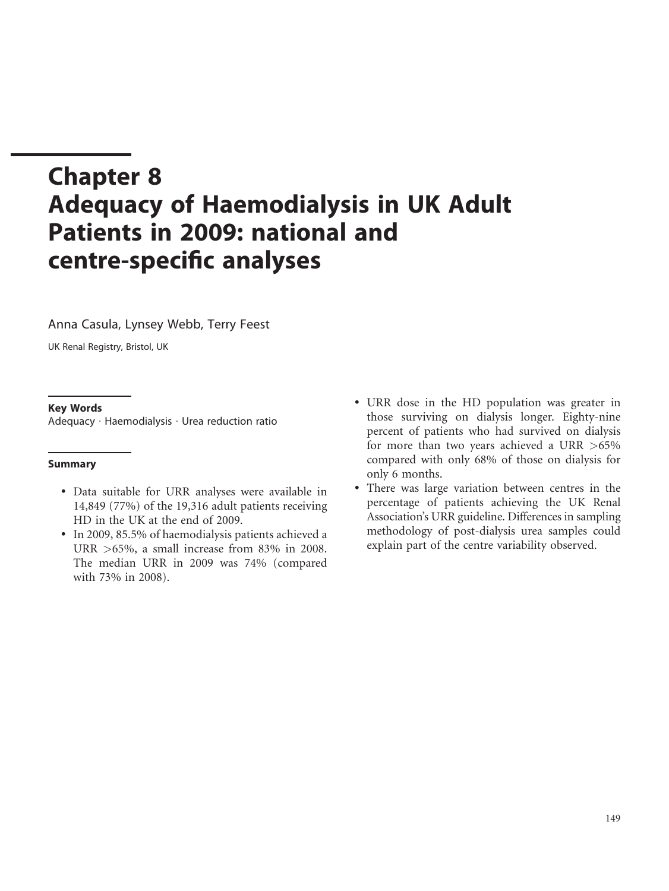# Chapter 8 Adequacy of Haemodialysis in UK Adult Patients in 2009: national and centre-specific analyses

Anna Casula, Lynsey Webb, Terry Feest

UK Renal Registry, Bristol, UK

## Key Words

Adequacy : Haemodialysis : Urea reduction ratio

## Summary

- . Data suitable for URR analyses were available in 14,849 (77%) of the 19,316 adult patients receiving HD in the UK at the end of 2009.
- . In 2009, 85.5% of haemodialysis patients achieved a URR >65%, a small increase from 83% in 2008. The median URR in 2009 was 74% (compared with 73% in 2008).
- . URR dose in the HD population was greater in those surviving on dialysis longer. Eighty-nine percent of patients who had survived on dialysis for more than two years achieved a URR >65% compared with only 68% of those on dialysis for only 6 months.
- . There was large variation between centres in the percentage of patients achieving the UK Renal Association's URR guideline. Differences in sampling methodology of post-dialysis urea samples could explain part of the centre variability observed.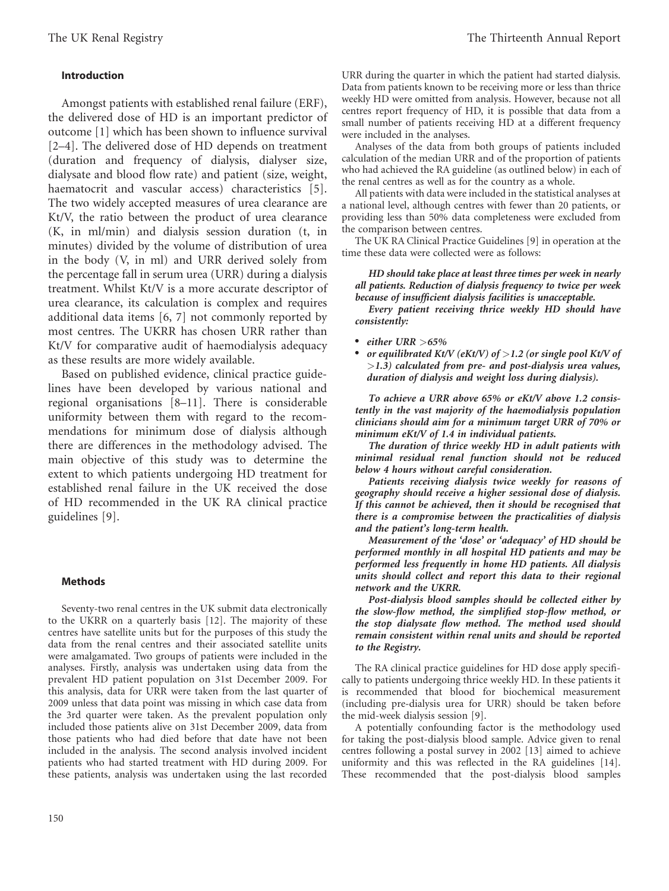## Introduction

Amongst patients with established renal failure (ERF), the delivered dose of HD is an important predictor of outcome [1] which has been shown to influence survival [2–4]. The delivered dose of HD depends on treatment (duration and frequency of dialysis, dialyser size, dialysate and blood flow rate) and patient (size, weight, haematocrit and vascular access) characteristics [5]. The two widely accepted measures of urea clearance are Kt/V, the ratio between the product of urea clearance (K, in ml/min) and dialysis session duration (t, in minutes) divided by the volume of distribution of urea in the body (V, in ml) and URR derived solely from the percentage fall in serum urea (URR) during a dialysis treatment. Whilst Kt/V is a more accurate descriptor of urea clearance, its calculation is complex and requires additional data items [6, 7] not commonly reported by most centres. The UKRR has chosen URR rather than Kt/V for comparative audit of haemodialysis adequacy as these results are more widely available.

Based on published evidence, clinical practice guidelines have been developed by various national and regional organisations [8–11]. There is considerable uniformity between them with regard to the recommendations for minimum dose of dialysis although there are differences in the methodology advised. The main objective of this study was to determine the extent to which patients undergoing HD treatment for established renal failure in the UK received the dose of HD recommended in the UK RA clinical practice guidelines [9].

## Methods

Seventy-two renal centres in the UK submit data electronically to the UKRR on a quarterly basis [12]. The majority of these centres have satellite units but for the purposes of this study the data from the renal centres and their associated satellite units were amalgamated. Two groups of patients were included in the analyses. Firstly, analysis was undertaken using data from the prevalent HD patient population on 31st December 2009. For this analysis, data for URR were taken from the last quarter of 2009 unless that data point was missing in which case data from the 3rd quarter were taken. As the prevalent population only included those patients alive on 31st December 2009, data from those patients who had died before that date have not been included in the analysis. The second analysis involved incident patients who had started treatment with HD during 2009. For these patients, analysis was undertaken using the last recorded

URR during the quarter in which the patient had started dialysis. Data from patients known to be receiving more or less than thrice weekly HD were omitted from analysis. However, because not all centres report frequency of HD, it is possible that data from a small number of patients receiving HD at a different frequency were included in the analyses.

Analyses of the data from both groups of patients included calculation of the median URR and of the proportion of patients who had achieved the RA guideline (as outlined below) in each of the renal centres as well as for the country as a whole.

All patients with data were included in the statistical analyses at a national level, although centres with fewer than 20 patients, or providing less than 50% data completeness were excluded from the comparison between centres.

The UK RA Clinical Practice Guidelines [9] in operation at the time these data were collected were as follows:

## HD should take place at least three times per week in nearly all patients. Reduction of dialysis frequency to twice per week because of insufficient dialysis facilities is unacceptable.

Every patient receiving thrice weekly HD should have consistently:

- either URR  $>65\%$
- or equilibrated Kt/V (eKt/V) of  $>$  1.2 (or single pool Kt/V of  $>1.3$ ) calculated from pre- and post-dialysis urea values, duration of dialysis and weight loss during dialysis).

To achieve a URR above 65% or eKt/V above 1.2 consistently in the vast majority of the haemodialysis population clinicians should aim for a minimum target URR of 70% or minimum eKt/V of 1.4 in individual patients.

The duration of thrice weekly HD in adult patients with minimal residual renal function should not be reduced below 4 hours without careful consideration.

Patients receiving dialysis twice weekly for reasons of geography should receive a higher sessional dose of dialysis. If this cannot be achieved, then it should be recognised that there is a compromise between the practicalities of dialysis and the patient's long-term health.

Measurement of the 'dose' or 'adequacy' of HD should be performed monthly in all hospital HD patients and may be performed less frequently in home HD patients. All dialysis units should collect and report this data to their regional network and the UKRR.

Post-dialysis blood samples should be collected either by the slow-flow method, the simplified stop-flow method, or the stop dialysate flow method. The method used should remain consistent within renal units and should be reported to the Registry.

The RA clinical practice guidelines for HD dose apply specifically to patients undergoing thrice weekly HD. In these patients it is recommended that blood for biochemical measurement (including pre-dialysis urea for URR) should be taken before the mid-week dialysis session [9].

A potentially confounding factor is the methodology used for taking the post-dialysis blood sample. Advice given to renal centres following a postal survey in 2002 [13] aimed to achieve uniformity and this was reflected in the RA guidelines [14]. These recommended that the post-dialysis blood samples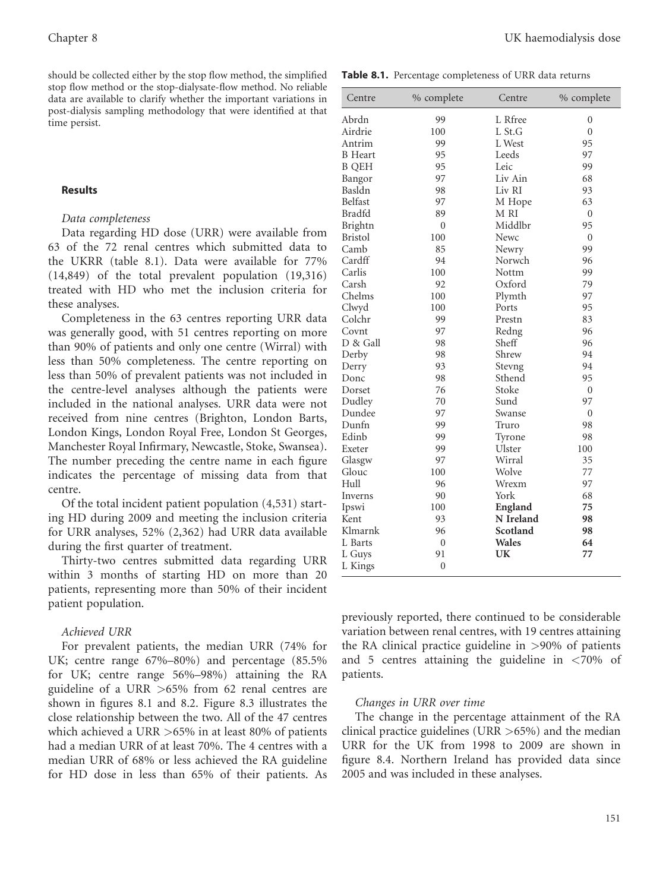should be collected either by the stop flow method, the simplified stop flow method or the stop-dialysate-flow method. No reliable data are available to clarify whether the important variations in post-dialysis sampling methodology that were identified at that time persist.

## Results

## Data completeness

Data regarding HD dose (URR) were available from 63 of the 72 renal centres which submitted data to the UKRR (table 8.1). Data were available for 77% (14,849) of the total prevalent population (19,316) treated with HD who met the inclusion criteria for these analyses.

Completeness in the 63 centres reporting URR data was generally good, with 51 centres reporting on more than 90% of patients and only one centre (Wirral) with less than 50% completeness. The centre reporting on less than 50% of prevalent patients was not included in the centre-level analyses although the patients were included in the national analyses. URR data were not received from nine centres (Brighton, London Barts, London Kings, London Royal Free, London St Georges, Manchester Royal Infirmary, Newcastle, Stoke, Swansea). The number preceding the centre name in each figure indicates the percentage of missing data from that centre.

Of the total incident patient population (4,531) starting HD during 2009 and meeting the inclusion criteria for URR analyses, 52% (2,362) had URR data available during the first quarter of treatment.

Thirty-two centres submitted data regarding URR within 3 months of starting HD on more than 20 patients, representing more than 50% of their incident patient population.

## Achieved URR

For prevalent patients, the median URR (74% for UK; centre range 67%–80%) and percentage (85.5% for UK; centre range 56%–98%) attaining the RA guideline of a URR >65% from 62 renal centres are shown in figures 8.1 and 8.2. Figure 8.3 illustrates the close relationship between the two. All of the 47 centres which achieved a URR >65% in at least 80% of patients had a median URR of at least 70%. The 4 centres with a median URR of 68% or less achieved the RA guideline for HD dose in less than 65% of their patients. As

Table 8.1. Percentage completeness of URR data returns

| Centre         | % complete     | Centre    | % complete     |
|----------------|----------------|-----------|----------------|
| Abrdn          | 99             | L Rfree   | $\overline{0}$ |
| Airdrie        | 100            | L St.G    | $\overline{0}$ |
| Antrim         | 99             | L West    | 95             |
| <b>B</b> Heart | 95             | Leeds     | 97             |
| <b>B</b> QEH   | 95             | Leic      | 99             |
| Bangor         | 97             | Liv Ain   | 68             |
| Basldn         | 98             | Liv RI    | 93             |
| <b>Belfast</b> | 97             | M Hope    | 63             |
| Bradfd         | 89             | M RI      | $\mathbf{0}$   |
| Brightn        | $\overline{0}$ | Middlbr   | 95             |
| <b>Bristol</b> | 100            | Newc      | $\overline{0}$ |
| Camb           | 85             | Newry     | 99             |
| Cardff         | 94             | Norwch    | 96             |
| Carlis         | 100            | Nottm     | 99             |
| Carsh          | 92             | Oxford    | 79             |
| Chelms         | 100            | Plymth    | 97             |
| Clwyd          | 100            | Ports     | 95             |
| Colchr         | 99             | Prestn    | 83             |
| Covnt          | 97             | Redng     | 96             |
| D & Gall       | 98             | Sheff     | 96             |
| Derby          | 98             | Shrew     | 94             |
| Derry          | 93             | Stevng    | 94             |
| Donc           | 98             | Sthend    | 95             |
| Dorset         | 76             | Stoke     | $\mathbf{0}$   |
| Dudley         | 70             | Sund      | 97             |
| Dundee         | 97             | Swanse    | $\overline{0}$ |
| Dunfn          | 99             | Truro     | 98             |
| Edinb          | 99             | Tyrone    | 98             |
| Exeter         | 99             | Ulster    | 100            |
| Glasgw         | 97             | Wirral    | 35             |
| Glouc          | 100            | Wolve     | 77             |
| Hull           | 96             | Wrexm     | 97             |
| Inverns        | 90             | York      | 68             |
| Ipswi          | 100            | England   | 75             |
| Kent           | 93             | N Ireland | 98             |
| Klmarnk        | 96             | Scotland  | 98             |
| L Barts        | $\mathbf{0}$   | Wales     | 64             |
| L Guys         | 91             | UK        | 77             |
| L Kings        | $\mathbf{0}$   |           |                |

previously reported, there continued to be considerable variation between renal centres, with 19 centres attaining the RA clinical practice guideline in >90% of patients and 5 centres attaining the guideline in <70% of patients.

## Changes in URR over time

The change in the percentage attainment of the RA clinical practice guidelines (URR  $>65\%$ ) and the median URR for the UK from 1998 to 2009 are shown in figure 8.4. Northern Ireland has provided data since 2005 and was included in these analyses.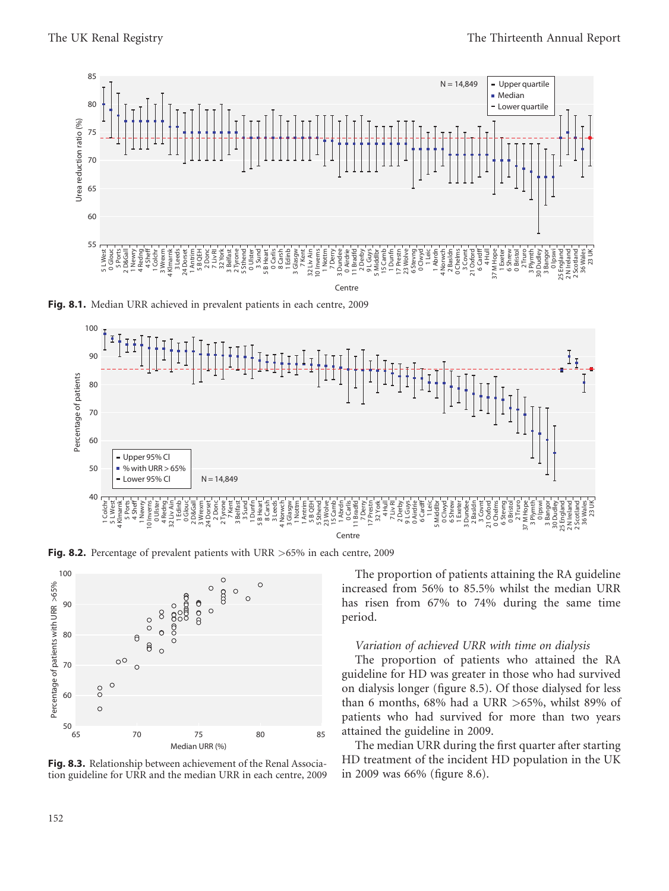

Fig. 8.1. Median URR achieved in prevalent patients in each centre, 2009



Fig. 8.2. Percentage of prevalent patients with URR >65% in each centre, 2009



Fig. 8.3. Relationship between achievement of the Renal Association guideline for URR and the median URR in each centre, 2009

The proportion of patients attaining the RA guideline increased from 56% to 85.5% whilst the median URR has risen from 67% to 74% during the same time period.

#### Variation of achieved URR with time on dialysis

The proportion of patients who attained the RA guideline for HD was greater in those who had survived on dialysis longer (figure 8.5). Of those dialysed for less than 6 months,  $68\%$  had a URR  $>65\%$ , whilst 89% of patients who had survived for more than two years attained the guideline in 2009.

The median URR during the first quarter after starting HD treatment of the incident HD population in the UK in 2009 was 66% (figure 8.6).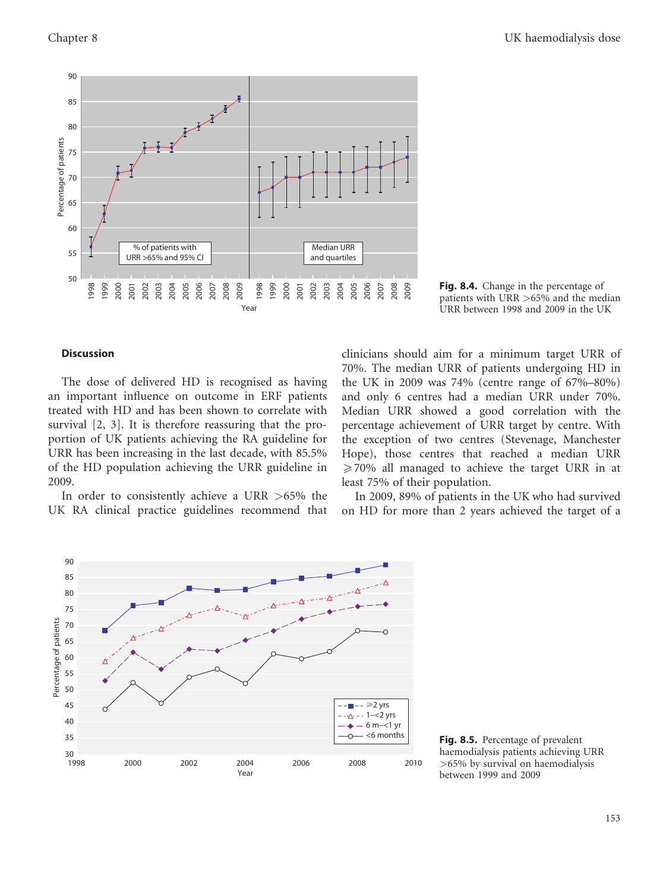

Fig. 8.4. Change in the percentage of patients with URR >65% and the median URR between 1998 and 2009 in the UK

#### **Discussion**

The dose of delivered HD is recognised as having an important influence on outcome in ERF patients treated with HD and has been shown to correlate with survival [2, 3]. It is therefore reassuring that the proportion of UK patients achieving the RA guideline for URR has been increasing in the last decade, with 85.5% of the HD population achieving the URR guideline in 2009.

In order to consistently achieve a URR >65% the UK RA clinical practice guidelines recommend that clinicians should aim for a minimum target URR of 70%. The median URR of patients undergoing HD in the UK in 2009 was 74% (centre range of 67%–80%) and only 6 centres had a median URR under 70%. Median URR showed a good correlation with the percentage achievement of URR target by centre. With the exception of two centres (Stevenage, Manchester Hope), those centres that reached a median URR *5*70% all managed to achieve the target URR in at least 75% of their population.

In 2009, 89% of patients in the UK who had survived on HD for more than 2 years achieved the target of a



 $\frac{-<6 \text{ months}}{2}$  Fig. 8.5. Percentage of prevalent haemodialysis patients achieving URR >65% by survival on haemodialysis between 1999 and 2009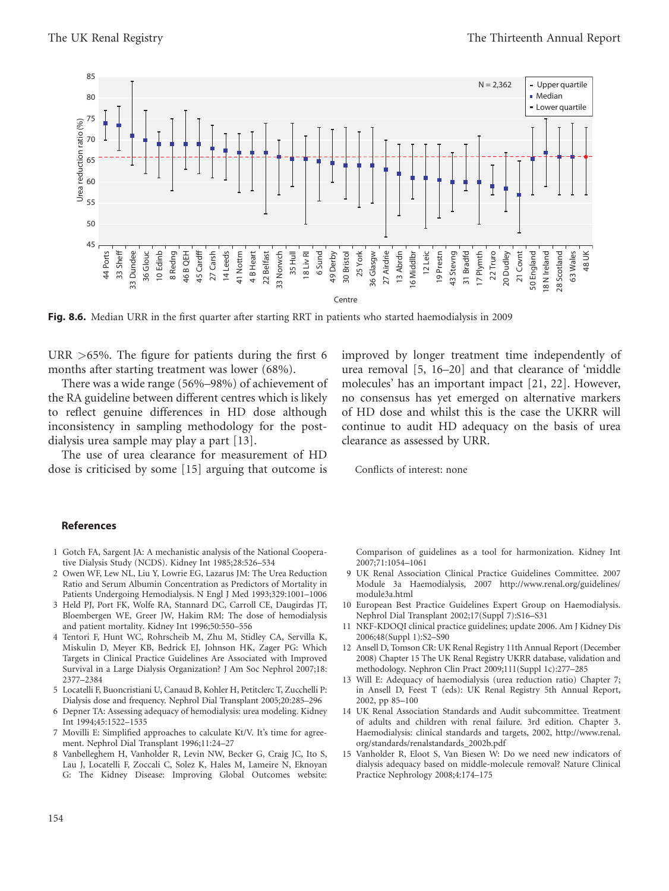

Fig. 8.6. Median URR in the first quarter after starting RRT in patients who started haemodialysis in 2009

URR >65%. The figure for patients during the first 6 months after starting treatment was lower (68%).

There was a wide range (56%–98%) of achievement of the RA guideline between different centres which is likely to reflect genuine differences in HD dose although inconsistency in sampling methodology for the postdialysis urea sample may play a part [13].

The use of urea clearance for measurement of HD dose is criticised by some [15] arguing that outcome is improved by longer treatment time independently of urea removal [5, 16–20] and that clearance of 'middle molecules' has an important impact [21, 22]. However, no consensus has yet emerged on alternative markers of HD dose and whilst this is the case the UKRR will continue to audit HD adequacy on the basis of urea clearance as assessed by URR.

Conflicts of interest: none

#### References

- 1 Gotch FA, Sargent JA: A mechanistic analysis of the National Cooperative Dialysis Study (NCDS). Kidney Int 1985;28:526–534
- 2 Owen WF, Lew NL, Liu Y, Lowrie EG, Lazarus JM: The Urea Reduction Ratio and Serum Albumin Concentration as Predictors of Mortality in Patients Undergoing Hemodialysis. N Engl J Med 1993;329:1001–1006
- 3 Held PJ, Port FK, Wolfe RA, Stannard DC, Carroll CE, Daugirdas JT, Bloembergen WE, Greer JW, Hakim RM: The dose of hemodialysis and patient mortality. Kidney Int 1996;50:550–556
- 4 Tentori F, Hunt WC, Rohrscheib M, Zhu M, Stidley CA, Servilla K, Miskulin D, Meyer KB, Bedrick EJ, Johnson HK, Zager PG: Which Targets in Clinical Practice Guidelines Are Associated with Improved Survival in a Large Dialysis Organization? J Am Soc Nephrol 2007;18: 2377–2384
- 5 Locatelli F, Buoncristiani U, Canaud B, Kohler H, Petitclerc T, Zucchelli P: Dialysis dose and frequency. Nephrol Dial Transplant 2005;20:285–296
- 6 Depner TA: Assessing adequacy of hemodialysis: urea modeling. Kidney Int 1994;45:1522–1535
- 7 Movilli E: Simplified approaches to calculate Kt/V. It's time for agreement. Nephrol Dial Transplant 1996;11:24–27
- 8 Vanbelleghem H, Vanholder R, Levin NW, Becker G, Craig JC, Ito S, Lau J, Locatelli F, Zoccali C, Solez K, Hales M, Lameire N, Eknoyan G: The Kidney Disease: Improving Global Outcomes website:

Comparison of guidelines as a tool for harmonization. Kidney Int 2007;71:1054–1061

- 9 UK Renal Association Clinical Practice Guidelines Committee. 2007 Module 3a Haemodialysis, 2007 http://www.renal.org/guidelines/ module3a.html
- 10 European Best Practice Guidelines Expert Group on Haemodialysis. Nephrol Dial Transplant 2002;17(Suppl 7):S16–S31
- 11 NKF-KDOQI clinical practice guidelines; update 2006. Am J Kidney Dis 2006;48(Suppl 1):S2–S90
- 12 Ansell D, Tomson CR: UK Renal Registry 11th Annual Report (December 2008) Chapter 15 The UK Renal Registry UKRR database, validation and methodology. Nephron Clin Pract 2009;111(Suppl 1c):277–285
- 13 Will E: Adequacy of haemodialysis (urea reduction ratio) Chapter 7; in Ansell D, Feest T (eds): UK Renal Registry 5th Annual Report, 2002, pp 85–100
- 14 UK Renal Association Standards and Audit subcommittee. Treatment of adults and children with renal failure. 3rd edition. Chapter 3. Haemodialysis: clinical standards and targets, 2002, http://www.renal. org/standards/renalstandards\_2002b.pdf
- 15 Vanholder R, Eloot S, Van Biesen W: Do we need new indicators of dialysis adequacy based on middle-molecule removal? Nature Clinical Practice Nephrology 2008;4:174–175